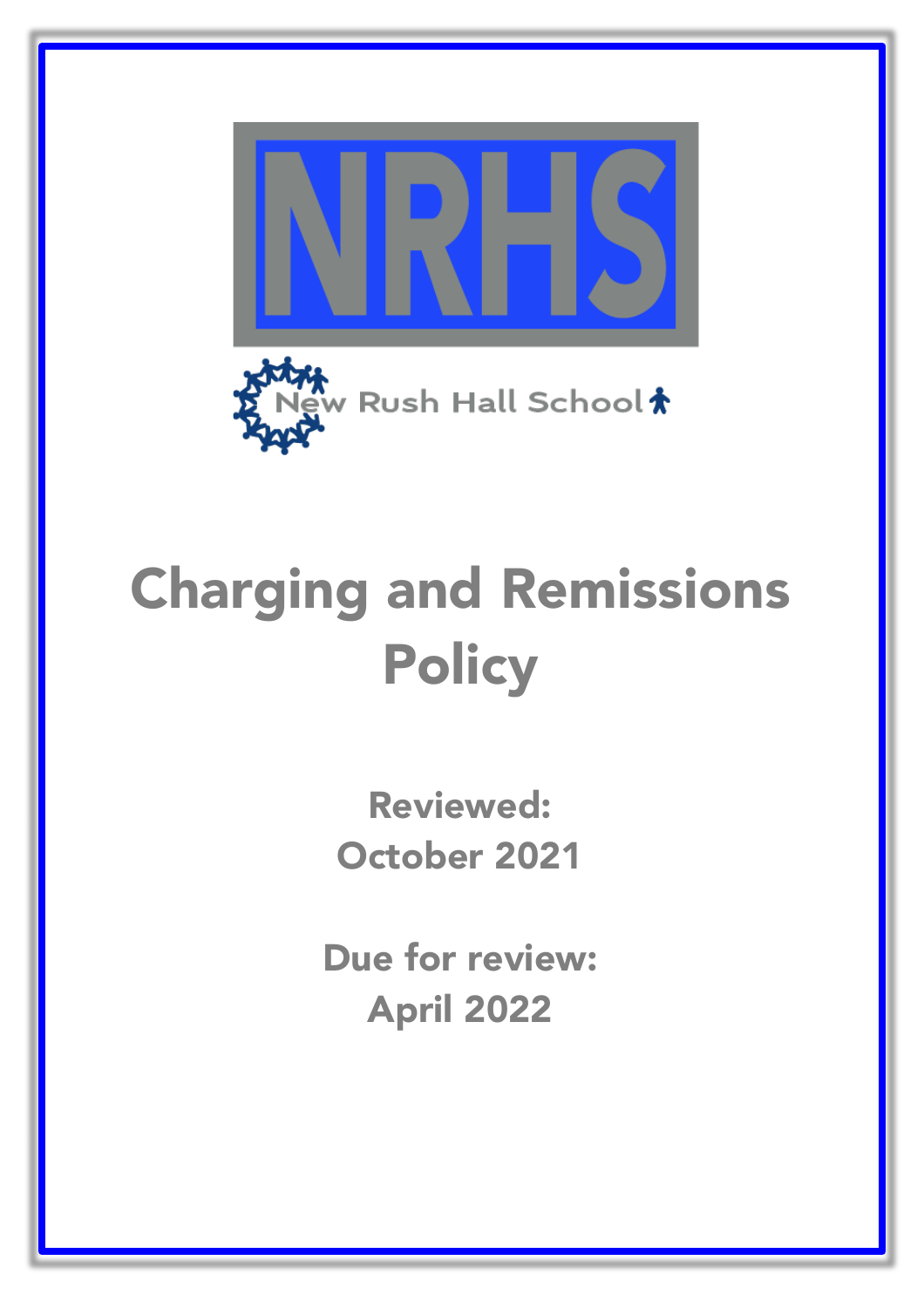



# Charging and Remissions **Policy**

Reviewed: October 2021

Due for review: April 2022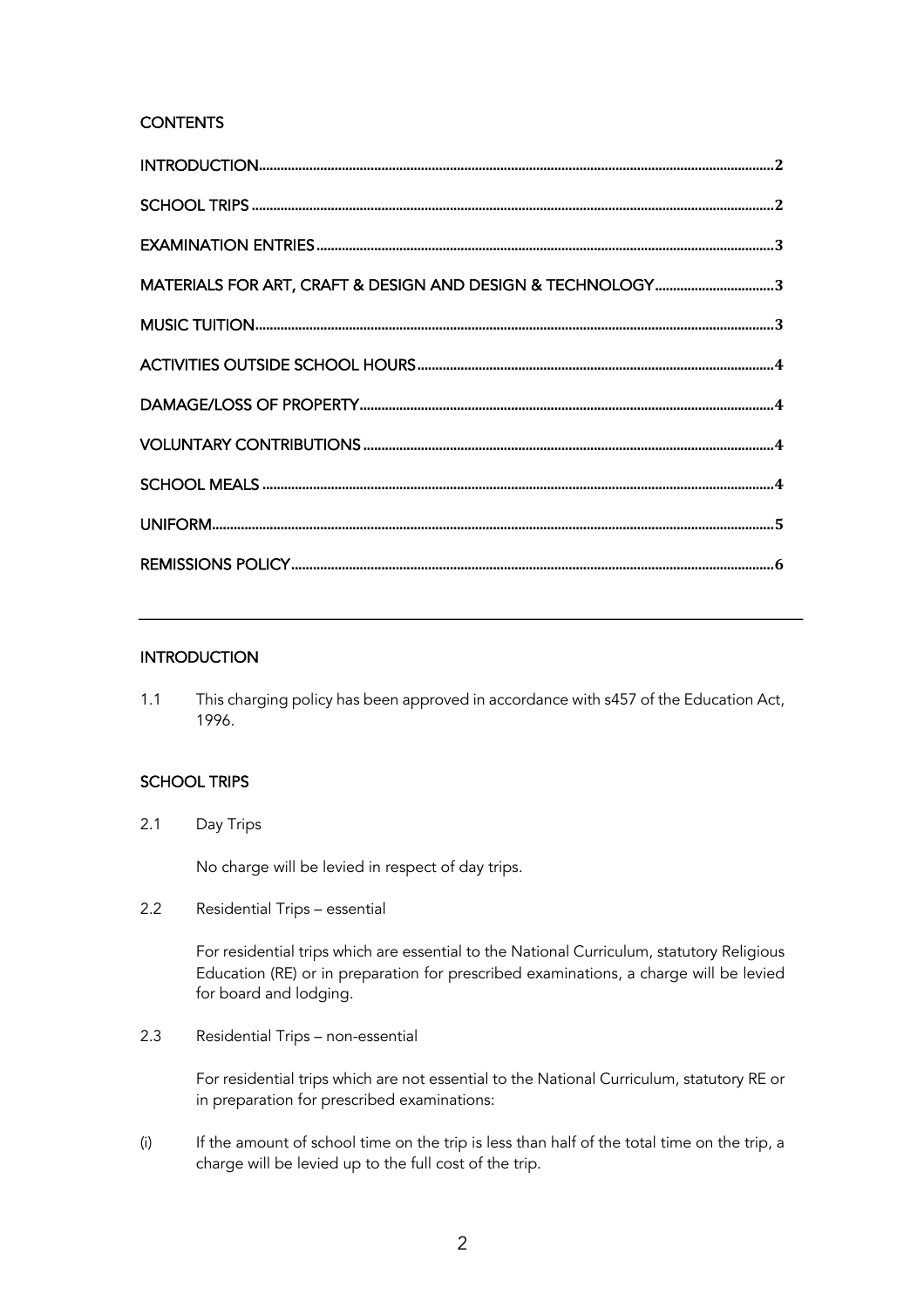# **CONTENTS**

# **INTRODUCTION**

1.1 This charging policy has been approved in accordance with s457 of the Education Act, 1996.

# SCHOOL TRIPS

2.1 Day Trips

No charge will be levied in respect of day trips.

2.2 Residential Trips – essential

For residential trips which are essential to the National Curriculum, statutory Religious Education (RE) or in preparation for prescribed examinations, a charge will be levied for board and lodging.

2.3 Residential Trips – non-essential

For residential trips which are not essential to the National Curriculum, statutory RE or in preparation for prescribed examinations:

(i) If the amount of school time on the trip is less than half of the total time on the trip, a charge will be levied up to the full cost of the trip.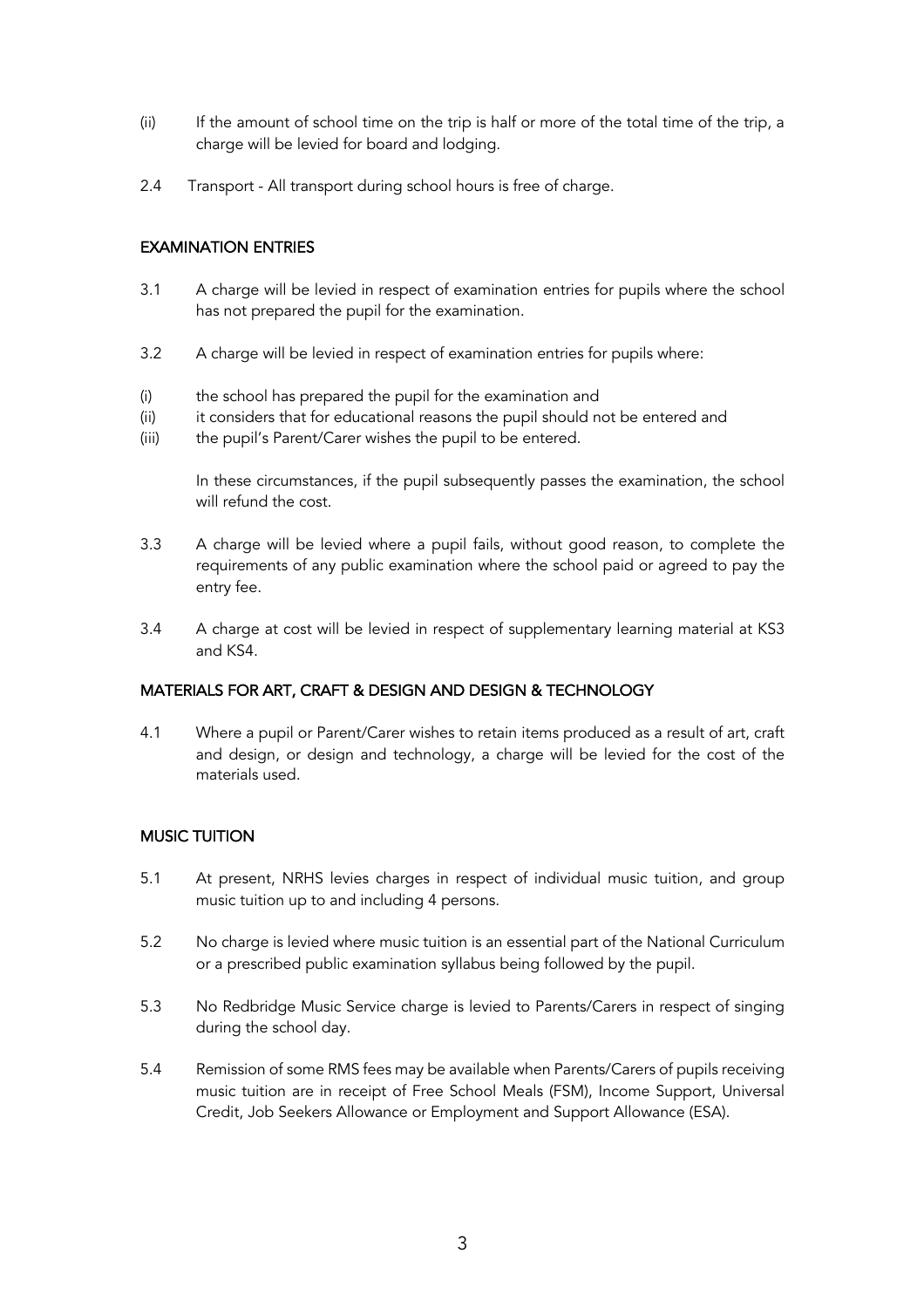- (ii) If the amount of school time on the trip is half or more of the total time of the trip, a charge will be levied for board and lodging.
- 2.4 Transport All transport during school hours is free of charge.

# EXAMINATION ENTRIES

- 3.1 A charge will be levied in respect of examination entries for pupils where the school has not prepared the pupil for the examination.
- 3.2 A charge will be levied in respect of examination entries for pupils where:
- (i) the school has prepared the pupil for the examination and
- (ii) it considers that for educational reasons the pupil should not be entered and
- (iii) the pupil's Parent/Carer wishes the pupil to be entered.

In these circumstances, if the pupil subsequently passes the examination, the school will refund the cost.

- 3.3 A charge will be levied where a pupil fails, without good reason, to complete the requirements of any public examination where the school paid or agreed to pay the entry fee.
- 3.4 A charge at cost will be levied in respect of supplementary learning material at KS3 and KS4.

# MATERIALS FOR ART, CRAFT & DESIGN AND DESIGN & TECHNOLOGY

4.1 Where a pupil or Parent/Carer wishes to retain items produced as a result of art, craft and design, or design and technology, a charge will be levied for the cost of the materials used.

# MUSIC TUITION

- 5.1 At present, NRHS levies charges in respect of individual music tuition, and group music tuition up to and including 4 persons.
- 5.2 No charge is levied where music tuition is an essential part of the National Curriculum or a prescribed public examination syllabus being followed by the pupil.
- 5.3 No Redbridge Music Service charge is levied to Parents/Carers in respect of singing during the school day.
- 5.4 Remission of some RMS fees may be available when Parents/Carers of pupils receiving music tuition are in receipt of Free School Meals (FSM), Income Support, Universal Credit, Job Seekers Allowance or Employment and Support Allowance (ESA).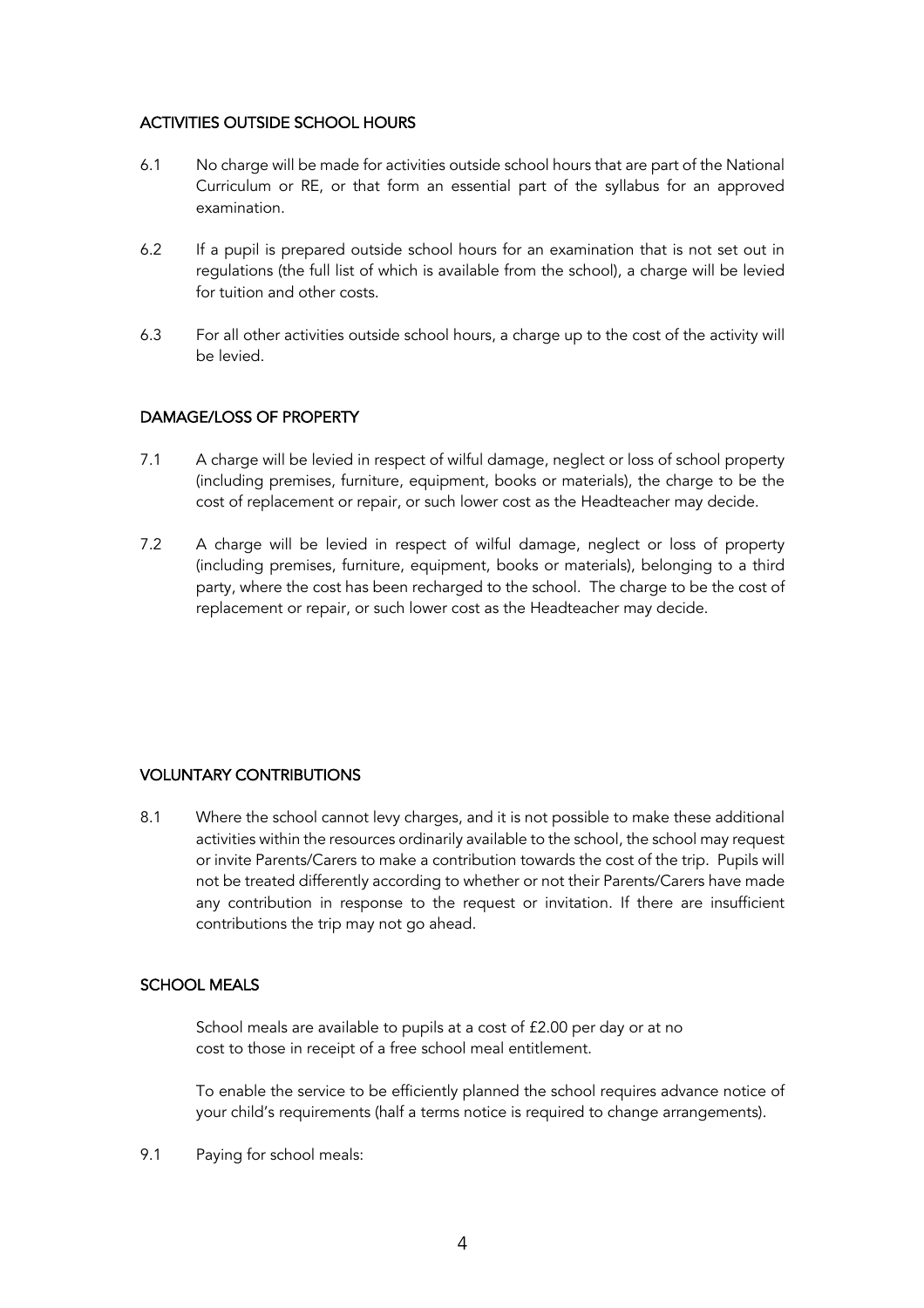#### ACTIVITIES OUTSIDE SCHOOL HOURS

- 6.1 No charge will be made for activities outside school hours that are part of the National Curriculum or RE, or that form an essential part of the syllabus for an approved examination.
- 6.2 If a pupil is prepared outside school hours for an examination that is not set out in regulations (the full list of which is available from the school), a charge will be levied for tuition and other costs.
- 6.3 For all other activities outside school hours, a charge up to the cost of the activity will be levied.

# DAMAGE/LOSS OF PROPERTY

- 7.1 A charge will be levied in respect of wilful damage, neglect or loss of school property (including premises, furniture, equipment, books or materials), the charge to be the cost of replacement or repair, or such lower cost as the Headteacher may decide.
- 7.2 A charge will be levied in respect of wilful damage, neglect or loss of property (including premises, furniture, equipment, books or materials), belonging to a third party, where the cost has been recharged to the school. The charge to be the cost of replacement or repair, or such lower cost as the Headteacher may decide.

# VOLUNTARY CONTRIBUTIONS

8.1 Where the school cannot levy charges, and it is not possible to make these additional activities within the resources ordinarily available to the school, the school may request or invite Parents/Carers to make a contribution towards the cost of the trip. Pupils will not be treated differently according to whether or not their Parents/Carers have made any contribution in response to the request or invitation. If there are insufficient contributions the trip may not go ahead.

#### SCHOOL MEALS

School meals are available to pupils at a cost of £2.00 per day or at no cost to those in receipt of a free school meal entitlement.

To enable the service to be efficiently planned the school requires advance notice of your child's requirements (half a terms notice is required to change arrangements).

9.1 Paying for school meals: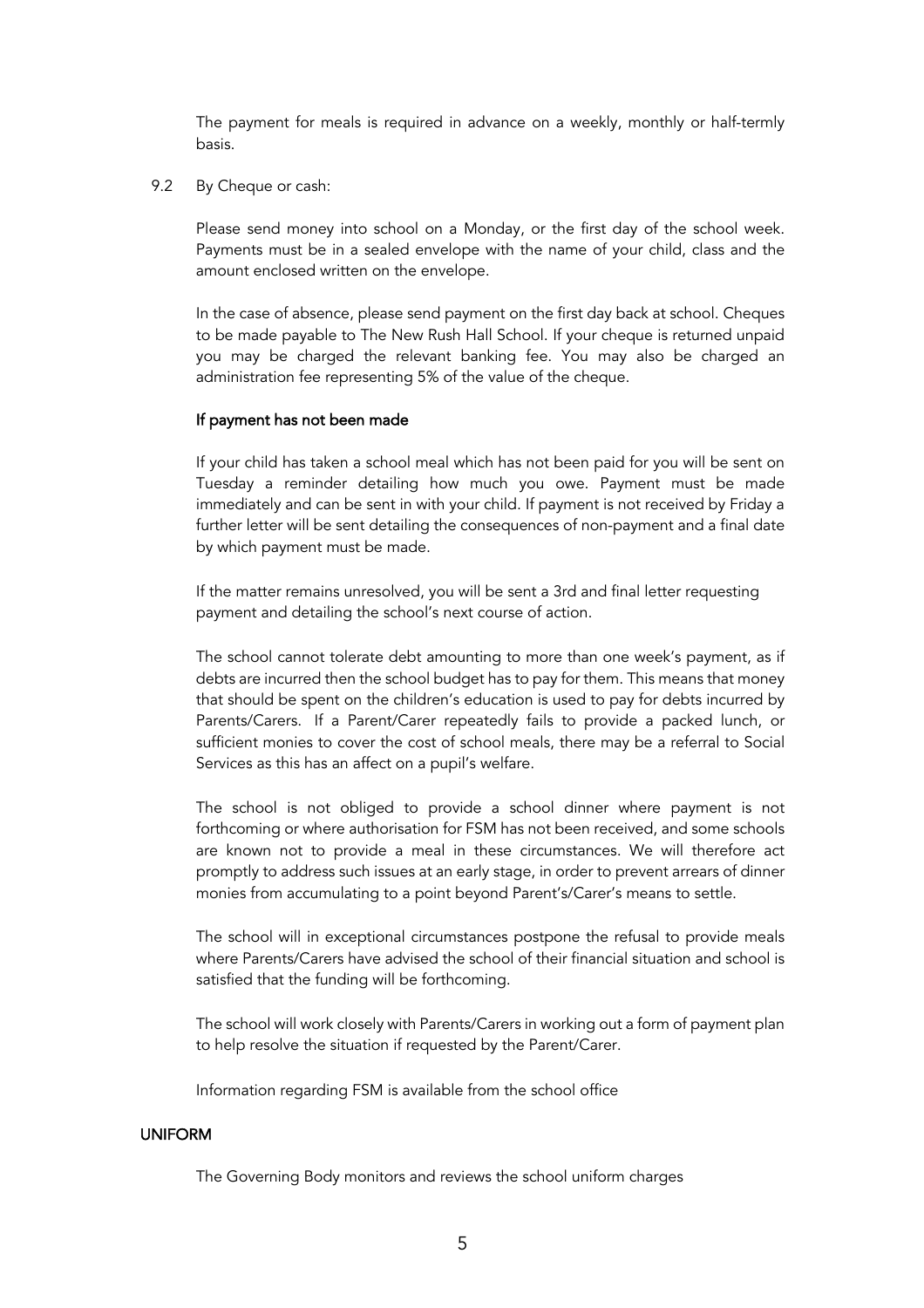The payment for meals is required in advance on a weekly, monthly or half-termly basis.

9.2 By Cheque or cash:

Please send money into school on a Monday, or the first day of the school week. Payments must be in a sealed envelope with the name of your child, class and the amount enclosed written on the envelope.

In the case of absence, please send payment on the first day back at school. Cheques to be made payable to The New Rush Hall School. If your cheque is returned unpaid you may be charged the relevant banking fee. You may also be charged an administration fee representing 5% of the value of the cheque.

#### If payment has not been made

If your child has taken a school meal which has not been paid for you will be sent on Tuesday a reminder detailing how much you owe. Payment must be made immediately and can be sent in with your child. If payment is not received by Friday a further letter will be sent detailing the consequences of non-payment and a final date by which payment must be made.

If the matter remains unresolved, you will be sent a 3rd and final letter requesting payment and detailing the school's next course of action.

The school cannot tolerate debt amounting to more than one week's payment, as if debts are incurred then the school budget has to pay for them. This means that money that should be spent on the children's education is used to pay for debts incurred by Parents/Carers. If a Parent/Carer repeatedly fails to provide a packed lunch, or sufficient monies to cover the cost of school meals, there may be a referral to Social Services as this has an affect on a pupil's welfare.

The school is not obliged to provide a school dinner where payment is not forthcoming or where authorisation for FSM has not been received, and some schools are known not to provide a meal in these circumstances. We will therefore act promptly to address such issues at an early stage, in order to prevent arrears of dinner monies from accumulating to a point beyond Parent's/Carer's means to settle.

The school will in exceptional circumstances postpone the refusal to provide meals where Parents/Carers have advised the school of their financial situation and school is satisfied that the funding will be forthcoming.

The school will work closely with Parents/Carers in working out a form of payment plan to help resolve the situation if requested by the Parent/Carer.

Information regarding FSM is available from the school office

#### UNIFORM

The Governing Body monitors and reviews the school uniform charges